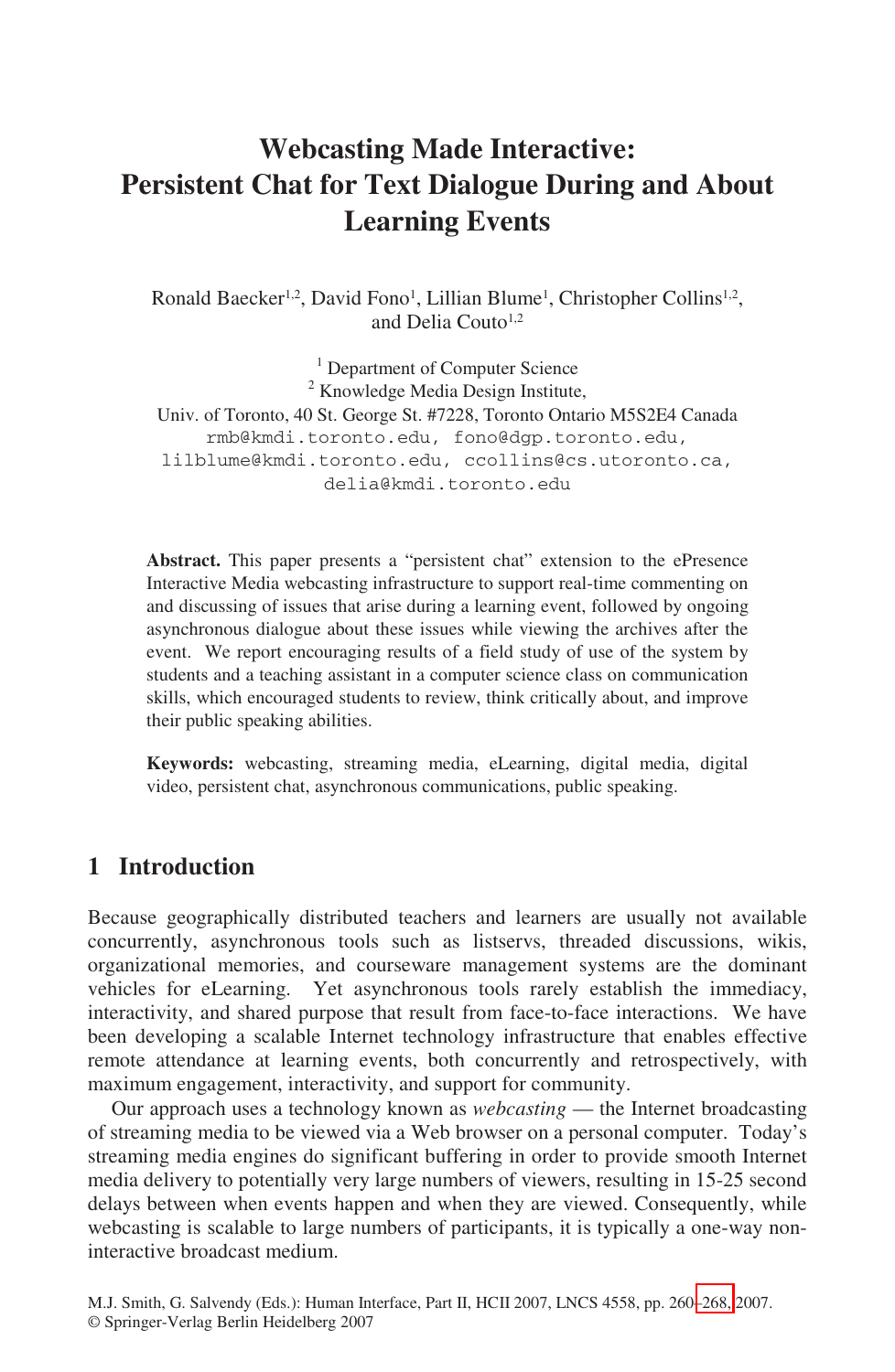# **Webcasting Made Interactive: Persistent Chat for Text Dialogue During and About Learning Events**

Ronald Baecker<sup>1,2</sup>, David Fono<sup>1</sup>, Lillian Blume<sup>1</sup>, Christopher Collins<sup>1,2</sup>, and Delia Couto<sup>1,2</sup>

<sup>1</sup> Department of Computer Science <sup>2</sup> Knowledge Media Design Institute, Univ. of Toronto, 40 St. George St. #7228, Toronto Ontario M5S2E4 Canada rmb@kmdi.toronto.edu, fono@dgp.toronto.edu, lilblume@kmdi.toronto.edu, ccollins@cs.utoronto.ca, delia@kmdi.toronto.edu

**Abstract.** This paper presents a "persistent chat" extension to the ePresence Interactive Media webcasting infrastructure to support real-time commenting on and discussing of issues that arise during a learning event, followed by ongoing asynchronous dialogue about these issues while viewing the archives after the event. We report encouraging results of a field study of use of the system by students and a teaching assistant in a computer science class on communication skills, which encouraged students to review, think critically about, and improve their public speaking abilities.

**Keywords:** webcasting, streaming media, eLearning, digital media, digital video, persistent chat, asynchronous communications, public speaking.

## **1 Introduction**

Because geographically distributed teachers and learners are usually not available concurrently, asynchronous tools such as listservs, threaded discussions, wikis, organizational memories, and courseware management systems are the dominant vehicles for eLearning. Yet asynchronous tools rarely establish the immediacy, interactivity, and shared purpose that result from face-to-face interactions. We have been developing a scalable Internet technology infrastructure that enables effective remote attendance at learning events, both concurrently and retrospectively, with maximum engagement, interactivity, and support for community.

Our approach uses a technology known as *webcasting* — the Internet broadcasting of streaming media to be viewed via a Web browser on a personal computer. Today's streaming media engines do significant buffering in order to provide smooth Internet media delivery to potentially very large numbers of viewers, resulting in 15-25 second delays between when events happen and when they are viewed. Consequently, while webcasting is scalable to large numbers of participants, it is typically a one-way noninteractive broadcast medium.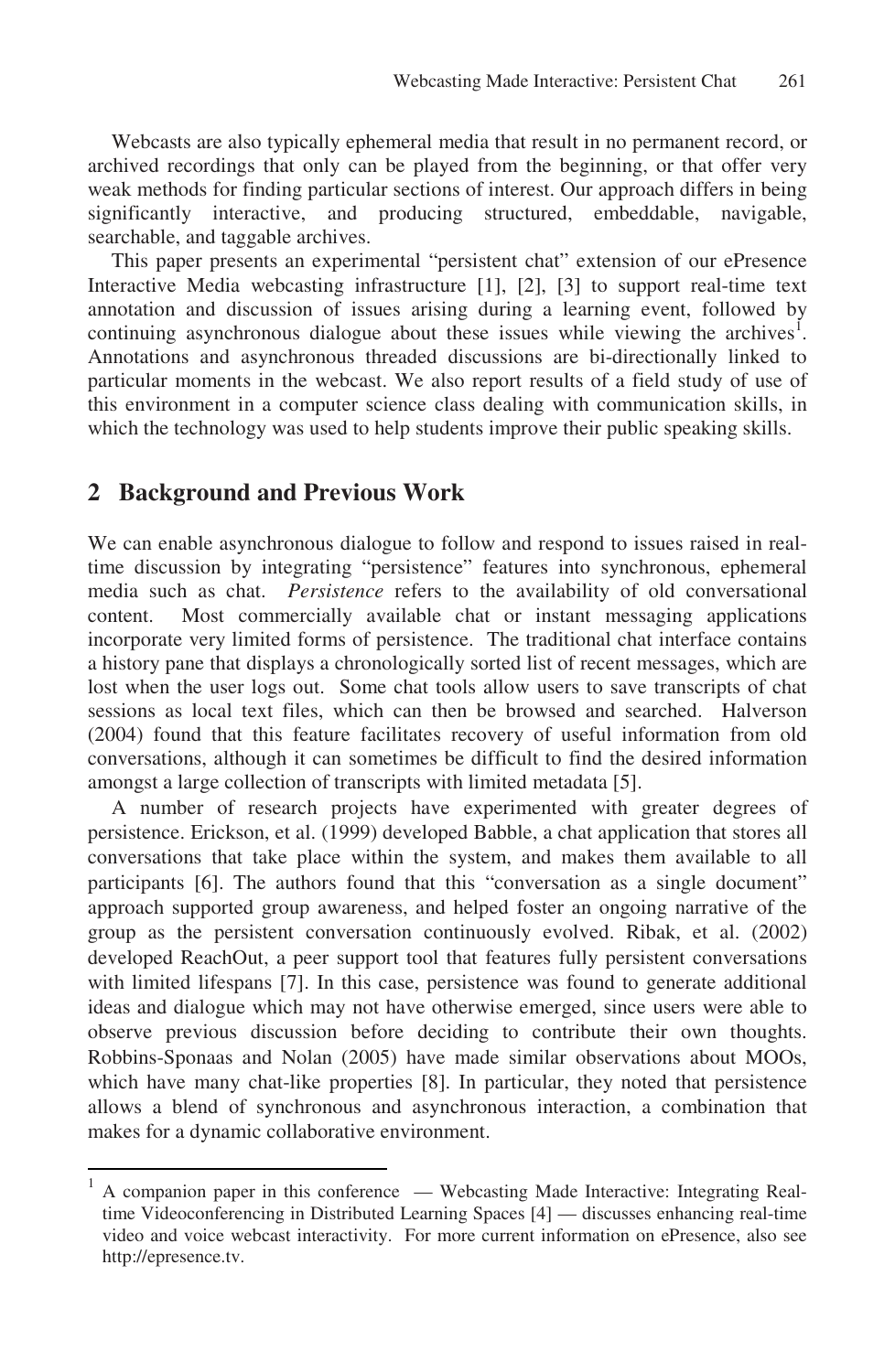Webcasts are also typically ephemeral media that result in no permanent record, or archived recordings that only can be played from the beginning, or that offer very weak methods for finding particular sections of interest. Our approach differs in being significantly interactive, and producing structured, embeddable, navigable, searchable, and taggable archives.

This paper presents an experimental "persistent chat" extension of our ePresence Interactive Media webcasting infrastructure [1], [2], [3] to support real-time text annotation and discussion of issues arising during a learning event, followed by continuing asynchronous dialogue about these issues while viewing the archives<sup>1</sup>. Annotations and asynchronous threaded discussions are bi-directionally linked to particular moments in the webcast. We also report results of a field study of use of this environment in a computer science class dealing with communication skills, in which the technology was used to help students improve their public speaking skills.

#### **2 Background and Previous Work**

l

We can enable asynchronous dialogue to follow and respond to issues raised in realtime discussion by integrating "persistence" features into synchronous, ephemeral media such as chat. *Persistence* refers to the availability of old conversational content. Most commercially available chat or instant messaging applications incorporate very limited forms of persistence. The traditional chat interface contains a history pane that displays a chronologically sorted list of recent messages, which are lost when the user logs out. Some chat tools allow users to save transcripts of chat sessions as local text files, which can then be browsed and searched. Halverson (2004) found that this feature facilitates recovery of useful information from old conversations, although it can sometimes be difficult to find the desired information amongst a large collection of transcripts with limited metadata [5].

A number of research projects have experimented with greater degrees of persistence. Erickson, et al. (1999) developed Babble, a chat application that stores all conversations that take place within the system, and makes them available to all participants [6]. The authors found that this "conversation as a single document" approach supported group awareness, and helped foster an ongoing narrative of the group as the persistent conversation continuously evolved. Ribak, et al. (2002) developed ReachOut, a peer support tool that features fully persistent conversations with limited lifespans [7]. In this case, persistence was found to generate additional ideas and dialogue which may not have otherwise emerged, since users were able to observe previous discussion before deciding to contribute their own thoughts. Robbins-Sponaas and Nolan (2005) have made similar observations about MOOs, which have many chat-like properties [8]. In particular, they noted that persistence allows a blend of synchronous and asynchronous interaction, a combination that makes for a dynamic collaborative environment.

<sup>1</sup> A companion paper in this conference — Webcasting Made Interactive: Integrating Realtime Videoconferencing in Distributed Learning Spaces [4] — discusses enhancing real-time video and voice webcast interactivity. For more current information on ePresence, also see http://epresence.tv.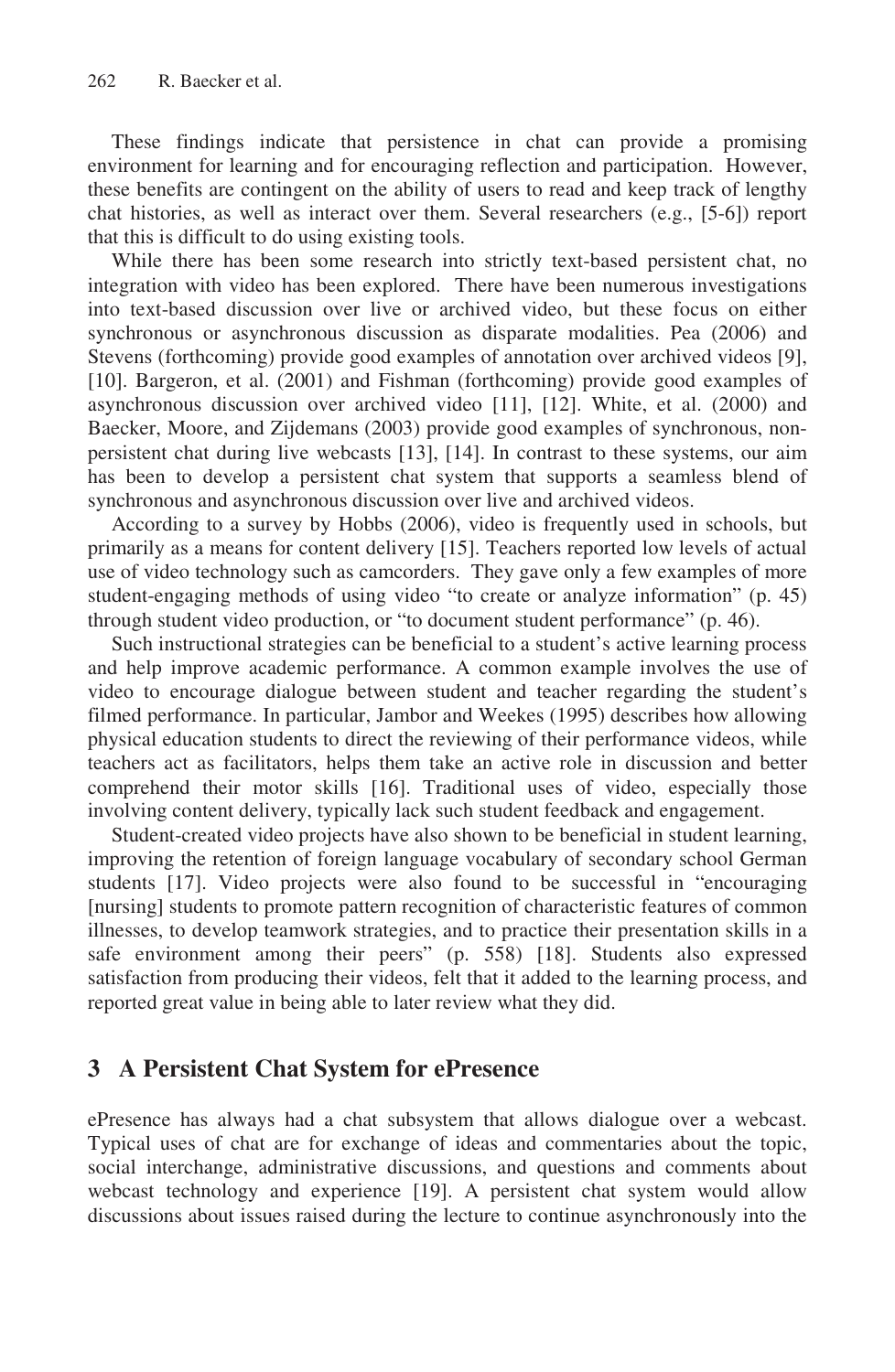These findings indicate that persistence in chat can provide a promising environment for learning and for encouraging reflection and participation. However, these benefits are contingent on the ability of users to read and keep track of lengthy chat histories, as well as interact over them. Several researchers (e.g., [5-6]) report that this is difficult to do using existing tools.

While there has been some research into strictly text-based persistent chat, no integration with video has been explored. There have been numerous investigations into text-based discussion over live or archived video, but these focus on either synchronous or asynchronous discussion as disparate modalities. Pea (2006) and Stevens (forthcoming) provide good examples of annotation over archived videos [9], [10]. Bargeron, et al. (2001) and Fishman (forthcoming) provide good examples of asynchronous discussion over archived video [11], [12]. White, et al. (2000) and Baecker, Moore, and Zijdemans (2003) provide good examples of synchronous, nonpersistent chat during live webcasts [13], [14]. In contrast to these systems, our aim has been to develop a persistent chat system that supports a seamless blend of synchronous and asynchronous discussion over live and archived videos.

According to a survey by Hobbs (2006), video is frequently used in schools, but primarily as a means for content delivery [15]. Teachers reported low levels of actual use of video technology such as camcorders. They gave only a few examples of more student-engaging methods of using video "to create or analyze information" (p. 45) through student video production, or "to document student performance" (p. 46).

Such instructional strategies can be beneficial to a student's active learning process and help improve academic performance. A common example involves the use of video to encourage dialogue between student and teacher regarding the student's filmed performance. In particular, Jambor and Weekes (1995) describes how allowing physical education students to direct the reviewing of their performance videos, while teachers act as facilitators, helps them take an active role in discussion and better comprehend their motor skills [16]. Traditional uses of video, especially those involving content delivery, typically lack such student feedback and engagement.

Student-created video projects have also shown to be beneficial in student learning, improving the retention of foreign language vocabulary of secondary school German students [17]. Video projects were also found to be successful in "encouraging [nursing] students to promote pattern recognition of characteristic features of common illnesses, to develop teamwork strategies, and to practice their presentation skills in a safe environment among their peers" (p. 558) [18]. Students also expressed satisfaction from producing their videos, felt that it added to the learning process, and reported great value in being able to later review what they did.

#### **3 A Persistent Chat System for ePresence**

ePresence has always had a chat subsystem that allows dialogue over a webcast. Typical uses of chat are for exchange of ideas and commentaries about the topic, social interchange, administrative discussions, and questions and comments about webcast technology and experience [19]. A persistent chat system would allow discussions about issues raised during the lecture to continue asynchronously into the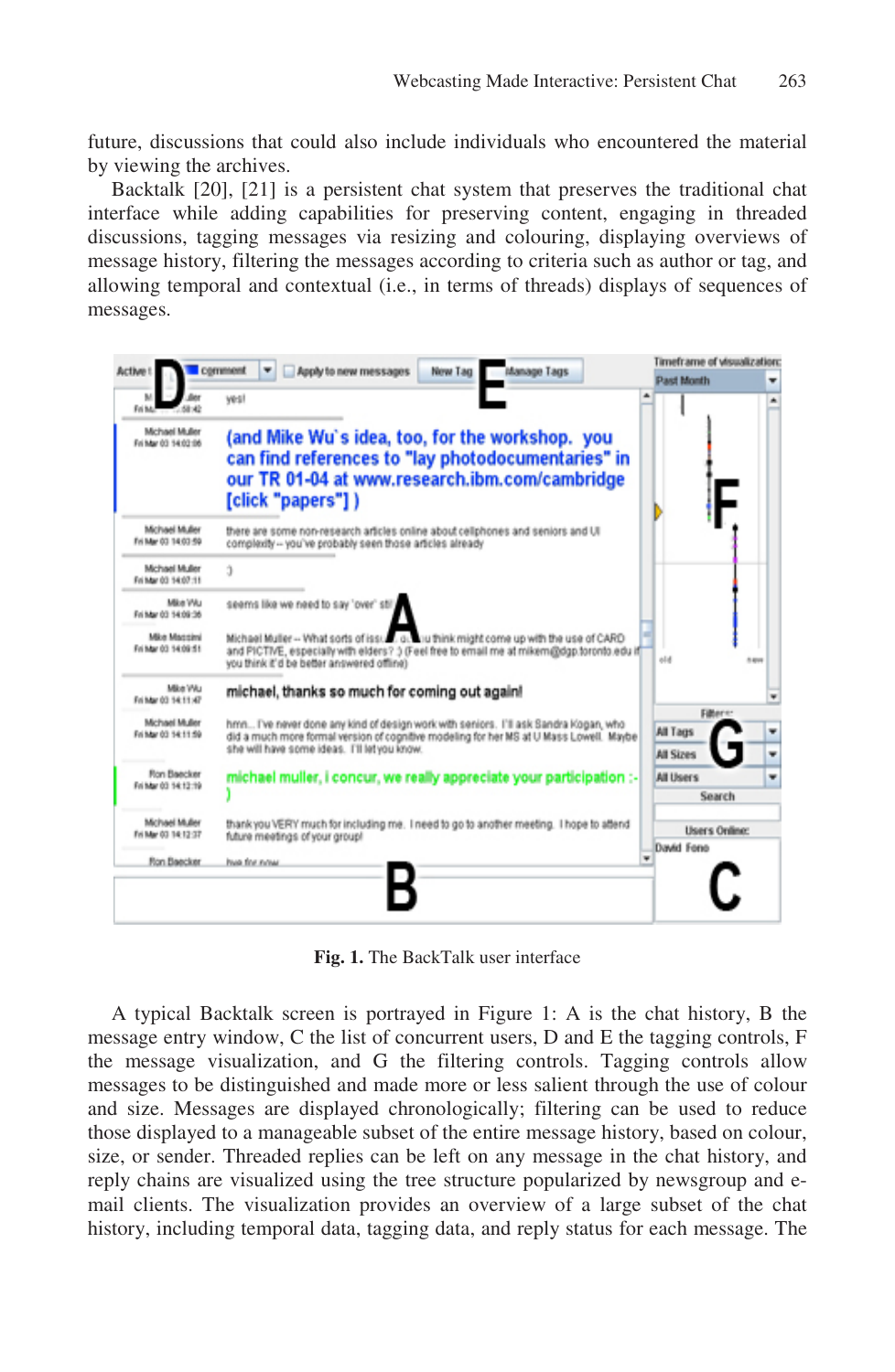future, discussions that could also include individuals who encountered the material by viewing the archives.

Backtalk [20], [21] is a persistent chat system that preserves the traditional chat interface while adding capabilities for preserving content, engaging in threaded discussions, tagging messages via resizing and colouring, displaying overviews of message history, filtering the messages according to criteria such as author or tag, and allowing temporal and contextual (i.e., in terms of threads) displays of sequences of messages.



**Fig. 1.** The BackTalk user interface

A typical Backtalk screen is portrayed in Figure 1: A is the chat history, B the message entry window, C the list of concurrent users, D and E the tagging controls, F the message visualization, and G the filtering controls. Tagging controls allow messages to be distinguished and made more or less salient through the use of colour and size. Messages are displayed chronologically; filtering can be used to reduce those displayed to a manageable subset of the entire message history, based on colour, size, or sender. Threaded replies can be left on any message in the chat history, and reply chains are visualized using the tree structure popularized by newsgroup and email clients. The visualization provides an overview of a large subset of the chat history, including temporal data, tagging data, and reply status for each message. The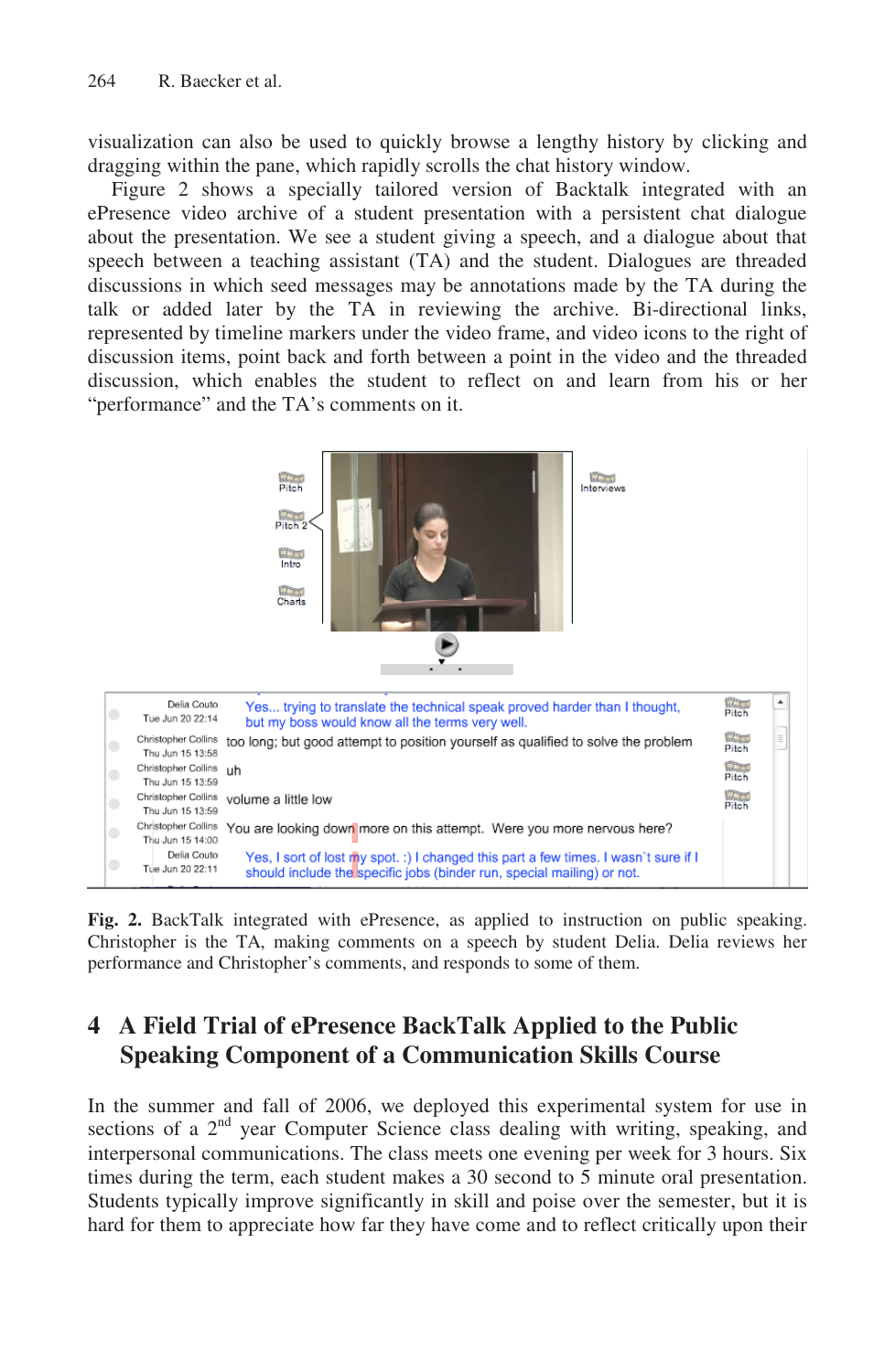visualization can also be used to quickly browse a lengthy history by clicking and dragging within the pane, which rapidly scrolls the chat history window.

Figure 2 shows a specially tailored version of Backtalk integrated with an ePresence video archive of a student presentation with a persistent chat dialogue about the presentation. We see a student giving a speech, and a dialogue about that speech between a teaching assistant (TA) and the student. Dialogues are threaded discussions in which seed messages may be annotations made by the TA during the talk or added later by the TA in reviewing the archive. Bi-directional links, represented by timeline markers under the video frame, and video icons to the right of discussion items, point back and forth between a point in the video and the threaded discussion, which enables the student to reflect on and learn from his or her "performance" and the TA's comments on it.



**Fig. 2.** BackTalk integrated with ePresence, as applied to instruction on public speaking. Christopher is the TA, making comments on a speech by student Delia. Delia reviews her performance and Christopher's comments, and responds to some of them.

# **4 A Field Trial of ePresence BackTalk Applied to the Public Speaking Component of a Communication Skills Course**

In the summer and fall of 2006, we deployed this experimental system for use in sections of a  $2<sup>nd</sup>$  year Computer Science class dealing with writing, speaking, and interpersonal communications. The class meets one evening per week for 3 hours. Six times during the term, each student makes a 30 second to 5 minute oral presentation. Students typically improve significantly in skill and poise over the semester, but it is hard for them to appreciate how far they have come and to reflect critically upon their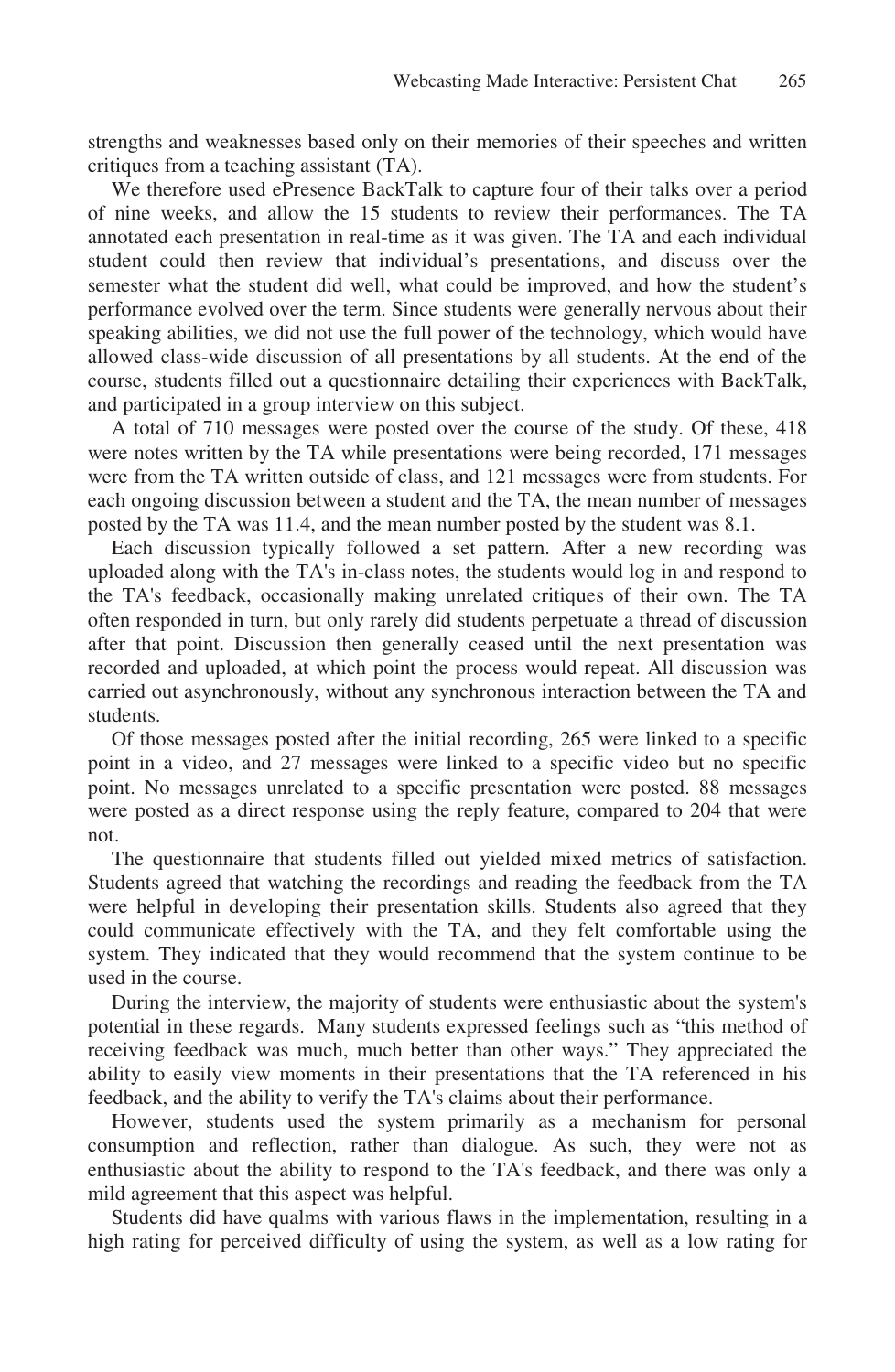strengths and weaknesses based only on their memories of their speeches and written critiques from a teaching assistant (TA).

We therefore used ePresence BackTalk to capture four of their talks over a period of nine weeks, and allow the 15 students to review their performances. The TA annotated each presentation in real-time as it was given. The TA and each individual student could then review that individual's presentations, and discuss over the semester what the student did well, what could be improved, and how the student's performance evolved over the term. Since students were generally nervous about their speaking abilities, we did not use the full power of the technology, which would have allowed class-wide discussion of all presentations by all students. At the end of the course, students filled out a questionnaire detailing their experiences with BackTalk, and participated in a group interview on this subject.

A total of 710 messages were posted over the course of the study. Of these, 418 were notes written by the TA while presentations were being recorded, 171 messages were from the TA written outside of class, and 121 messages were from students. For each ongoing discussion between a student and the TA, the mean number of messages posted by the TA was 11.4, and the mean number posted by the student was 8.1.

Each discussion typically followed a set pattern. After a new recording was uploaded along with the TA's in-class notes, the students would log in and respond to the TA's feedback, occasionally making unrelated critiques of their own. The TA often responded in turn, but only rarely did students perpetuate a thread of discussion after that point. Discussion then generally ceased until the next presentation was recorded and uploaded, at which point the process would repeat. All discussion was carried out asynchronously, without any synchronous interaction between the TA and students.

Of those messages posted after the initial recording, 265 were linked to a specific point in a video, and 27 messages were linked to a specific video but no specific point. No messages unrelated to a specific presentation were posted. 88 messages were posted as a direct response using the reply feature, compared to 204 that were not.

The questionnaire that students filled out yielded mixed metrics of satisfaction. Students agreed that watching the recordings and reading the feedback from the TA were helpful in developing their presentation skills. Students also agreed that they could communicate effectively with the TA, and they felt comfortable using the system. They indicated that they would recommend that the system continue to be used in the course.

During the interview, the majority of students were enthusiastic about the system's potential in these regards. Many students expressed feelings such as "this method of receiving feedback was much, much better than other ways." They appreciated the ability to easily view moments in their presentations that the TA referenced in his feedback, and the ability to verify the TA's claims about their performance.

However, students used the system primarily as a mechanism for personal consumption and reflection, rather than dialogue. As such, they were not as enthusiastic about the ability to respond to the TA's feedback, and there was only a mild agreement that this aspect was helpful.

Students did have qualms with various flaws in the implementation, resulting in a high rating for perceived difficulty of using the system, as well as a low rating for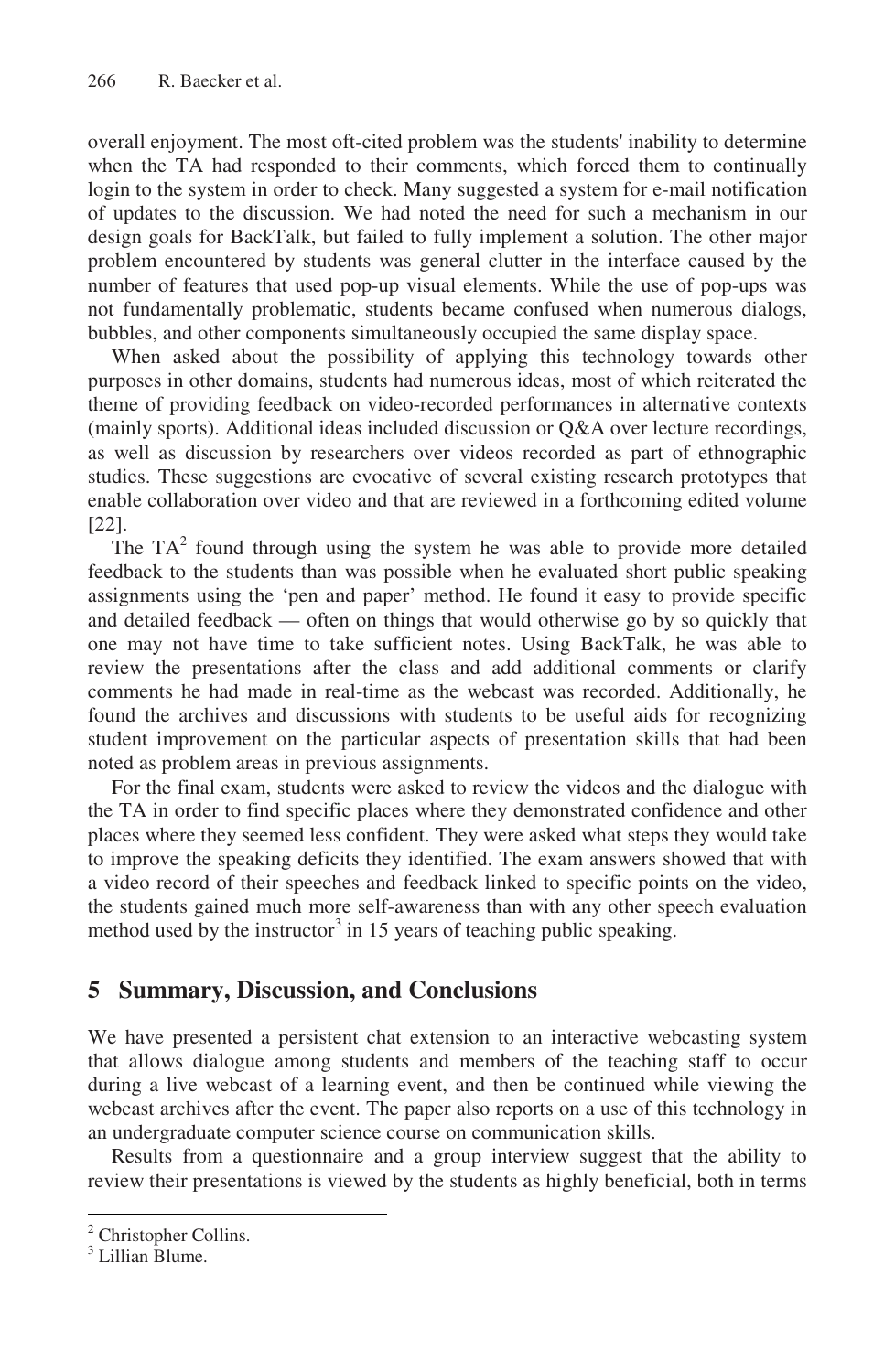overall enjoyment. The most oft-cited problem was the students' inability to determine when the TA had responded to their comments, which forced them to continually login to the system in order to check. Many suggested a system for e-mail notification of updates to the discussion. We had noted the need for such a mechanism in our design goals for BackTalk, but failed to fully implement a solution. The other major problem encountered by students was general clutter in the interface caused by the number of features that used pop-up visual elements. While the use of pop-ups was not fundamentally problematic, students became confused when numerous dialogs, bubbles, and other components simultaneously occupied the same display space.

When asked about the possibility of applying this technology towards other purposes in other domains, students had numerous ideas, most of which reiterated the theme of providing feedback on video-recorded performances in alternative contexts (mainly sports). Additional ideas included discussion or Q&A over lecture recordings, as well as discussion by researchers over videos recorded as part of ethnographic studies. These suggestions are evocative of several existing research prototypes that enable collaboration over video and that are reviewed in a forthcoming edited volume [22].

The  $TA<sup>2</sup>$  found through using the system he was able to provide more detailed feedback to the students than was possible when he evaluated short public speaking assignments using the 'pen and paper' method. He found it easy to provide specific and detailed feedback — often on things that would otherwise go by so quickly that one may not have time to take sufficient notes. Using BackTalk, he was able to review the presentations after the class and add additional comments or clarify comments he had made in real-time as the webcast was recorded. Additionally, he found the archives and discussions with students to be useful aids for recognizing student improvement on the particular aspects of presentation skills that had been noted as problem areas in previous assignments.

For the final exam, students were asked to review the videos and the dialogue with the TA in order to find specific places where they demonstrated confidence and other places where they seemed less confident. They were asked what steps they would take to improve the speaking deficits they identified. The exam answers showed that with a video record of their speeches and feedback linked to specific points on the video, the students gained much more self-awareness than with any other speech evaluation method used by the instructor<sup>3</sup> in 15 years of teaching public speaking.

## **5 Summary, Discussion, and Conclusions**

We have presented a persistent chat extension to an interactive webcasting system that allows dialogue among students and members of the teaching staff to occur during a live webcast of a learning event, and then be continued while viewing the webcast archives after the event. The paper also reports on a use of this technology in an undergraduate computer science course on communication skills.

Results from a questionnaire and a group interview suggest that the ability to review their presentations is viewed by the students as highly beneficial, both in terms

-

<sup>2</sup> Christopher Collins.

<sup>&</sup>lt;sup>3</sup> Lillian Blume.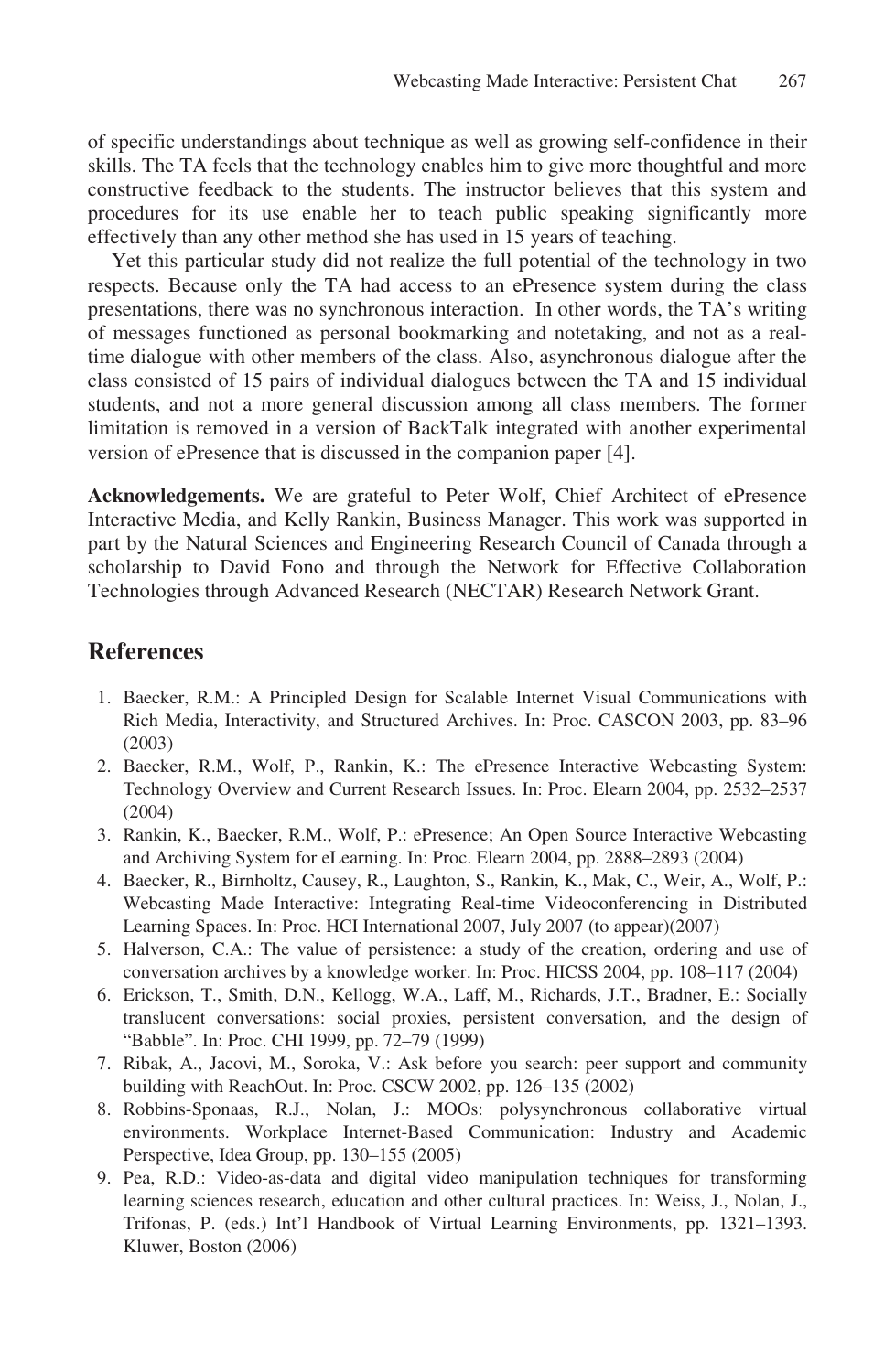of specific understandings about technique as well as growing self-confidence in their skills. The TA feels that the technology enables him to give more thoughtful and more constructive feedback to the students. The instructor believes that this system and procedures for its use enable her to teach public speaking significantly more effectively than any other method she has used in 15 years of teaching.

Yet this particular study did not realize the full potential of the technology in two respects. Because only the TA had access to an ePresence system during the class presentations, there was no synchronous interaction. In other words, the TA's writing of messages functioned as personal bookmarking and notetaking, and not as a realtime dialogue with other members of the class. Also, asynchronous dialogue after the class consisted of 15 pairs of individual dialogues between the TA and 15 individual students, and not a more general discussion among all class members. The former limitation is removed in a version of BackTalk integrated with another experimental version of ePresence that is discussed in the companion paper [4].

**Acknowledgements.** We are grateful to Peter Wolf, Chief Architect of ePresence Interactive Media, and Kelly Rankin, Business Manager. This work was supported in part by the Natural Sciences and Engineering Research Council of Canada through a scholarship to David Fono and through the Network for Effective Collaboration Technologies through Advanced Research (NECTAR) Research Network Grant.

#### **References**

- 1. Baecker, R.M.: A Principled Design for Scalable Internet Visual Communications with Rich Media, Interactivity, and Structured Archives. In: Proc. CASCON 2003, pp. 83–96 (2003)
- 2. Baecker, R.M., Wolf, P., Rankin, K.: The ePresence Interactive Webcasting System: Technology Overview and Current Research Issues. In: Proc. Elearn 2004, pp. 2532–2537 (2004)
- 3. Rankin, K., Baecker, R.M., Wolf, P.: ePresence; An Open Source Interactive Webcasting and Archiving System for eLearning. In: Proc. Elearn 2004, pp. 2888–2893 (2004)
- 4. Baecker, R., Birnholtz, Causey, R., Laughton, S., Rankin, K., Mak, C., Weir, A., Wolf, P.: Webcasting Made Interactive: Integrating Real-time Videoconferencing in Distributed Learning Spaces. In: Proc. HCI International 2007, July 2007 (to appear)(2007)
- 5. Halverson, C.A.: The value of persistence: a study of the creation, ordering and use of conversation archives by a knowledge worker. In: Proc. HICSS 2004, pp. 108–117 (2004)
- 6. Erickson, T., Smith, D.N., Kellogg, W.A., Laff, M., Richards, J.T., Bradner, E.: Socially translucent conversations: social proxies, persistent conversation, and the design of "Babble". In: Proc. CHI 1999, pp. 72–79 (1999)
- 7. Ribak, A., Jacovi, M., Soroka, V.: Ask before you search: peer support and community building with ReachOut. In: Proc. CSCW 2002, pp. 126–135 (2002)
- 8. Robbins-Sponaas, R.J., Nolan, J.: MOOs: polysynchronous collaborative virtual environments. Workplace Internet-Based Communication: Industry and Academic Perspective, Idea Group, pp. 130–155 (2005)
- 9. Pea, R.D.: Video-as-data and digital video manipulation techniques for transforming learning sciences research, education and other cultural practices. In: Weiss, J., Nolan, J., Trifonas, P. (eds.) Int'l Handbook of Virtual Learning Environments, pp. 1321–1393. Kluwer, Boston (2006)